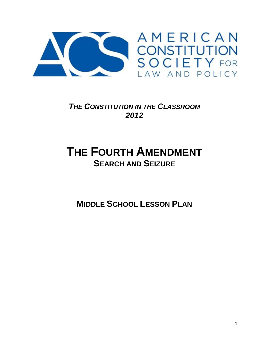

# *THE CONSTITUTION IN THE CLASSROOM 2012*

# **THE FOURTH AMENDMENT SEARCH AND SEIZURE**

**MIDDLE SCHOOL LESSON PLAN**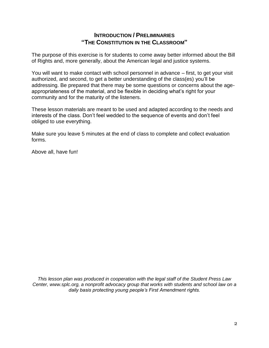## **INTRODUCTION / PRELIMINARIES "THE CONSTITUTION IN THE CLASSROOM"**

The purpose of this exercise is for students to come away better informed about the Bill of Rights and, more generally, about the American legal and justice systems.

You will want to make contact with school personnel in advance – first, to get your visit authorized, and second, to get a better understanding of the class(es) you'll be addressing. Be prepared that there may be some questions or concerns about the ageappropriateness of the material, and be flexible in deciding what's right for your community and for the maturity of the listeners.

These lesson materials are meant to be used and adapted according to the needs and interests of the class. Don't feel wedded to the sequence of events and don't feel obliged to use everything.

Make sure you leave 5 minutes at the end of class to complete and collect evaluation forms.

Above all, have fun!

*This lesson plan was produced in cooperation with the legal staff of the Student Press Law Center, www.splc.org, a nonprofit advocacy group that works with students and school law on a daily basis protecting young people's First Amendment rights.*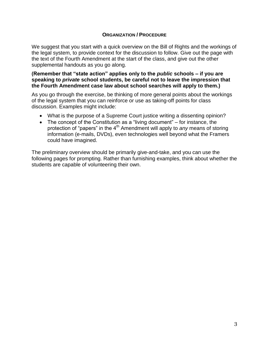## **ORGANIZATION / PROCEDURE**

We suggest that you start with a quick overview on the Bill of Rights and the workings of the legal system, to provide context for the discussion to follow. Give out the page with the text of the Fourth Amendment at the start of the class, and give out the other supplemental handouts as you go along.

## **(Remember that "state action" applies only to the** *public* **schools – if you are speaking to** *private* **school students, be careful not to leave the impression that the Fourth Amendment case law about school searches will apply to them.)**

As you go through the exercise, be thinking of more general points about the workings of the legal system that you can reinforce or use as taking-off points for class discussion. Examples might include:

- What is the purpose of a Supreme Court justice writing a dissenting opinion?
- The concept of the Constitution as a "living document" for instance, the protection of "papers" in the 4<sup>th</sup> Amendment will apply to *any* means of storing information (e-mails, DVDs), even technologies well beyond what the Framers could have imagined.

The preliminary overview should be primarily give-and-take, and you can use the following pages for prompting. Rather than furnishing examples, think about whether the students are capable of volunteering their own.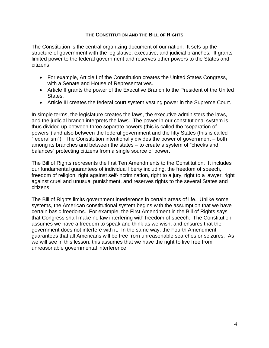### **THE CONSTITUTION AND THE BILL OF RIGHTS**

The Constitution is the central organizing document of our nation. It sets up the structure of government with the legislative, executive, and judicial branches. It grants limited power to the federal government and reserves other powers to the States and citizens.

- For example, Article I of the Constitution creates the United States Congress, with a Senate and House of Representatives.
- Article II grants the power of the Executive Branch to the President of the United States.
- Article III creates the federal court system vesting power in the Supreme Court.

In simple terms, the legislature creates the laws, the executive administers the laws, and the judicial branch interprets the laws. The power in our constitutional system is thus divided up between three separate powers (this is called the "separation of powers") and also between the federal government and the fifty States (this is called "federalism"). The Constitution intentionally divides the power of government – both among its branches and between the states – to create a system of "checks and balances" protecting citizens from a single source of power.

The Bill of Rights represents the first Ten Amendments to the Constitution. It includes our fundamental guarantees of individual liberty including, the freedom of speech, freedom of religion, right against self-incrimination, right to a jury, right to a lawyer, right against cruel and unusual punishment, and reserves rights to the several States and citizens.

The Bill of Rights limits government interference in certain areas of life. Unlike some systems, the American constitutional system begins with the assumption that we have certain basic freedoms. For example, the First Amendment in the Bill of Rights says that Congress shall make no law interfering with freedom of speech. The Constitution assumes we have a freedom to speak and think as we wish, and ensures that the government does not interfere with it. In the same way, the Fourth Amendment guarantees that all Americans will be free from unreasonable searches or seizures. As we will see in this lesson, this assumes that we have the right to live free from unreasonable governmental interference.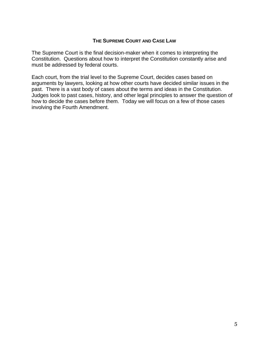## **THE SUPREME COURT AND CASE LAW**

The Supreme Court is the final decision-maker when it comes to interpreting the Constitution. Questions about how to interpret the Constitution constantly arise and must be addressed by federal courts.

Each court, from the trial level to the Supreme Court, decides cases based on arguments by lawyers, looking at how other courts have decided similar issues in the past. There is a vast body of cases about the terms and ideas in the Constitution. Judges look to past cases, history, and other legal principles to answer the question of how to decide the cases before them. Today we will focus on a few of those cases involving the Fourth Amendment.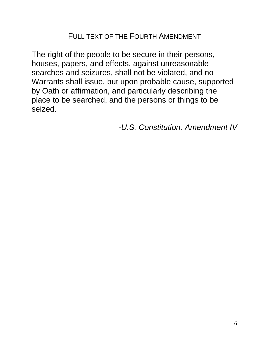## FULL TEXT OF THE FOURTH AMENDMENT

The right of the people to be secure in their persons, houses, papers, and effects, against unreasonable searches and seizures, shall not be violated, and no Warrants shall issue, but upon probable cause, supported by Oath or affirmation, and particularly describing the place to be searched, and the persons or things to be seized.

*-U.S. Constitution, Amendment IV*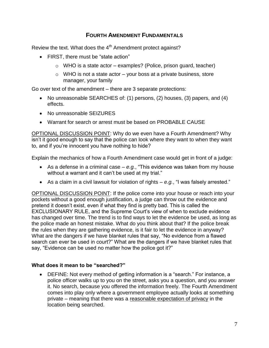## **FOURTH AMENDMENT FUNDAMENTALS**

Review the text. What does the 4<sup>th</sup> Amendment protect against?

- FIRST, there must be "state action"
	- $\circ$  WHO is a state actor examples? (Police, prison guard, teacher)
	- $\circ$  WHO is not a state actor your boss at a private business, store manager, your family

Go over text of the amendment – there are 3 separate protections:

- No unreasonable SEARCHES of: (1) persons, (2) houses, (3) papers, and (4) effects.
- No unreasonable SEIZURES
- Warrant for search or arrest must be based on PROBABLE CAUSE

OPTIONAL DISCUSSION POINT: Why do we even have a Fourth Amendment? Why isn't it good enough to say that the police can look where they want to when they want to, and if you're innocent you have nothing to hide?

Explain the mechanics of how a Fourth Amendment case would get in front of a judge:

- As a defense in a criminal case *e.g.*, "This evidence was taken from my house without a warrant and it can't be used at my trial."
- As a claim in a civil lawsuit for violation of rights *e.g.*, "I was falsely arrested."

OPTIONAL DISCUSSION POINT: If the police come into your house or reach into your pockets without a good enough justification, a judge can throw out the evidence and pretend it doesn't exist, even if what they find is pretty bad. This is called the EXCLUSIONARY RULE, and the Supreme Court's view of when to exclude evidence has changed over time. The trend is to find ways to let the evidence be used, as long as the police made an honest mistake. What do you think about that? If the police break the rules when they are gathering evidence, is it fair to let the evidence in anyway? What are the dangers if we have blanket rules that say, "No evidence from a flawed search can ever be used in court?" What are the dangers if we have blanket rules that say, "Evidence can be used no matter how the police got it?"

## **What does it mean to be "searched?"**

 DEFINE: Not every method of getting information is a "search." For instance, a police officer walks up to you on the street, asks you a question, and you answer it. No search, because you offered the information freely. The Fourth Amendment comes into play only where a government employee actually looks at something private – meaning that there was a reasonable expectation of privacy in the location being searched.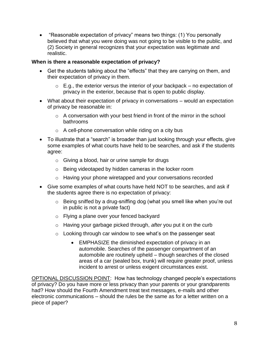• "Reasonable expectation of privacy" means two things: (1) You personally believed that what you were doing was not going to be visible to the public, and (2) Society in general recognizes that your expectation was legitimate and realistic.

## **When is there a reasonable expectation of privacy?**

- Get the students talking about the "effects" that they are carrying on them, and their expectation of privacy in them.
	- $\circ$  E.g., the exterior versus the interior of your backpack no expectation of privacy in the exterior, because that is open to public display.
- What about their expectation of privacy in conversations would an expectation of privacy be reasonable in:
	- o A conversation with your best friend in front of the mirror in the school bathrooms
	- o A cell-phone conversation while riding on a city bus
- To illustrate that a "search" is broader than just looking through your effects, give some examples of what courts have held to be searches, and ask if the students agree:
	- $\circ$  Giving a blood, hair or urine sample for drugs
	- o Being videotaped by hidden cameras in the locker room
	- o Having your phone wiretapped and your conversations recorded
- Give some examples of what courts have held NOT to be searches, and ask if the students agree there is no expectation of privacy:
	- o Being sniffed by a drug-sniffing dog (what you smell like when you're out in public is not a private fact)
	- o Flying a plane over your fenced backyard
	- o Having your garbage picked through, *after* you put it on the curb
	- $\circ$  Looking through car window to see what's on the passenger seat
		- EMPHASIZE the diminished expectation of privacy in an automobile. Searches of the passenger compartment of an automobile are routinely upheld – though searches of the closed areas of a car (sealed box, trunk) will require greater proof, unless incident to arrest or unless exigent circumstances exist.

OPTIONAL DISCUSSION POINT: How has technology changed people's expectations of privacy? Do you have more or less privacy than your parents or your grandparents had? How should the Fourth Amendment treat text messages, e-mails and other electronic communications – should the rules be the same as for a letter written on a piece of paper?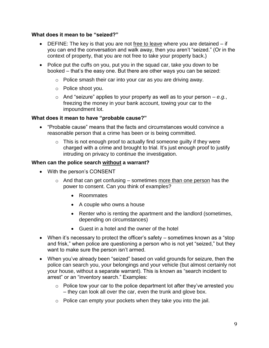## **What does it mean to be "seized?"**

- DEFINE: The key is that you are not free to leave where you are detained if you can end the conversation and walk away, then you aren't "seized." (Or in the context of property, that you are not free to take your property back.)
- Police put the cuffs on you, put you in the squad car, take you down to be booked – that's the easy one. But there are other ways you can be seized:
	- o Police smash their car into your car as you are driving away.
	- o Police shoot you.
	- o And "seizure" applies to your property as well as to your person *e.g.*, freezing the money in your bank account, towing your car to the impoundment lot.

## **What does it mean to have "probable cause?"**

- "Probable cause" means that the facts and circumstances would convince a reasonable person that a crime has been or is being committed.
	- $\circ$  This is not enough proof to actually find someone guilty if they were charged with a crime and brought to trial. It's just enough proof to justify intruding on privacy to continue the investigation.

## **When can the police search without a warrant?**

- With the person's CONSENT
	- $\circ$  And that can get confusing sometimes more than one person has the power to consent. Can you think of examples?
		- Roommates
		- A couple who owns a house
		- Renter who is renting the apartment and the landlord (sometimes, depending on circumstances)
		- Guest in a hotel and the owner of the hotel
- When it's necessary to protect the officer's safety sometimes known as a "stop and frisk," when police are questioning a person who is not yet "seized," but they want to make sure the person isn't armed.
- When you've already been "seized" based on valid grounds for seizure, then the police can search you, your belongings and your vehicle (but almost certainly not your house, without a separate warrant). This is known as "search incident to arrest" or an "inventory search." Examples:
	- $\circ$  Police tow your car to the police department lot after they've arrested you – they can look all over the car, even the trunk and glove box.
	- o Police can empty your pockets when they take you into the jail.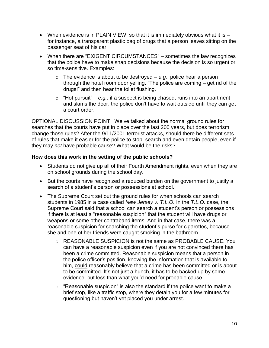- When evidence is in PLAIN VIEW, so that it is immediately obvious what it is for instance, a transparent plastic bag of drugs that a person leaves sitting on the passenger seat of his car.
- When there are "EXIGENT CIRCUMSTANCES" sometimes the law recognizes that the police have to make snap decisions because the decision is so urgent or so time-sensitive. Examples:
	- o The evidence is about to be destroyed *e.g.*, police hear a person through the hotel room door yelling, "The police are coming – get rid of the drugs!" and then hear the toilet flushing.
	- o "Hot pursuit" *e.g.*, if a suspect is being chased, runs into an apartment and slams the door, the police don't have to wait outside until they can get a court order.

OPTIONAL DISCUSSION POINT: We've talked about the normal ground rules for searches that the courts have put in place over the last 200 years, but does terrorism change those rules? After the 9/11/2001 terrorist attacks, should there be different sets of rules that make it easier for the police to stop, search and even detain people, even if they may *not* have probable cause? What would be the risks?

## **How does this work in the setting of the public schools?**

- Students do not give up all of their Fourth Amendment rights, even when they are on school grounds during the school day.
- But the courts have recognized a reduced burden on the government to justify a search of a student's person or possessions at school.
- The Supreme Court set out the ground rules for when schools can search students in 1985 in a case called *New Jersey v. T.L.O.* In the *T.L.O.* case, the Supreme Court said that a school can search a student's person or possessions if there is at least a "reasonable suspicion" that the student will have drugs or weapons or some other contraband items. And in that case, there was a reasonable suspicion for searching the student's purse for cigarettes, because she and one of her friends were caught smoking in the bathroom.
	- o REASONABLE SUSPICION is not the same as PROBABLE CAUSE. You can have a reasonable suspicion even if you are not convinced there has been a crime committed. Reasonable suspicion means that a person in the police officer's position, knowing the information that is available to him, could reasonably believe that a crime has been committed or is about to be committed. It's not just a hunch, it has to be backed up by some evidence, but less than what you'd need for probable cause.
	- o "Reasonable suspicion" is also the standard if the police want to make a brief stop, like a traffic stop, where they detain you for a few minutes for questioning but haven't yet placed you under arrest.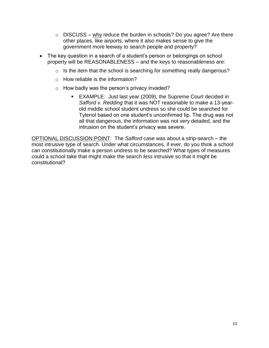- $\circ$  DISCUSS why reduce the burden in schools? Do you agree? Are there other places, like airports, where it also makes sense to give the government more leeway to search people and property?
- The key question in a search of a student's person or belongings on school property will be REASONABLENESS – and the keys to reasonableness are:
	- o Is the item that the school is searching for something really dangerous?
	- o How reliable is the information?
	- $\circ$  How badly was the person's privacy invaded?
		- EXAMPLE: Just last year (2009), the Supreme Court decided in *Safford v. Redding* that it was NOT reasonable to make a 13-yearold middle school student undress so she could be searched for Tylenol based on one student's unconfirmed tip. The drug was not all that dangerous, the information was not very detailed, and the intrusion on the student's privacy was severe.

OPTIONAL DISCUSSION POINT: The *Safford* case was about a strip-search – the most intrusive type of search. Under what circumstances, if ever, do you think a school can constitutionally make a person undress to be searched? What types of measures could a school take that might make the search *less* intrusive so that it might be constitutional?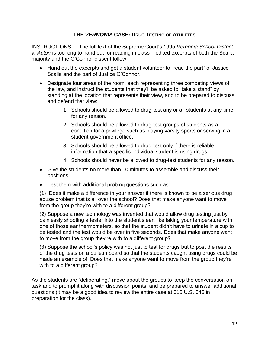## **THE** *VERNONIA* **CASE: DRUG TESTING OF ATHLETES**

INSTRUCTIONS: The full text of the Supreme Court's 1995 *Vernonia School District v. Acton* is too long to hand out for reading in class – edited excerpts of both the Scalia majority and the O'Connor dissent follow.

- Hand out the excerpts and get a student volunteer to "read the part" of Justice Scalia and the part of Justice O'Connor.
- Designate four areas of the room, each representing three competing views of the law, and instruct the students that they'll be asked to "take a stand" by standing at the location that represents their view, and to be prepared to discuss and defend that view:
	- 1. Schools should be allowed to drug-test any or all students at any time for any reason.
	- 2. Schools should be allowed to drug-test groups of students as a condition for a privilege such as playing varsity sports or serving in a student government office.
	- 3. Schools should be allowed to drug-test only if there is reliable information that a specific individual student is using drugs.
	- 4. Schools should never be allowed to drug-test students for any reason.
- Give the students no more than 10 minutes to assemble and discuss their positions.
- Test them with additional probing questions such as:

(1) Does it make a difference in your answer if there is known to be a serious drug abuse problem that is all over the school? Does that make anyone want to move from the group they're with to a different group?

(2) Suppose a new technology was invented that would allow drug testing just by painlessly shooting a tester into the student's ear, like taking your temperature with one of those ear thermometers, so that the student didn't have to urinate in a cup to be tested and the test would be over in five seconds. Does that make anyone want to move from the group they're with to a different group?

(3) Suppose the school's policy was not just to test for drugs but to post the results of the drug tests on a bulletin board so that the students caught using drugs could be made an example of. Does that make anyone want to move from the group they're with to a different group?

As the students are "deliberating," move about the groups to keep the conversation ontask and to prompt it along with discussion points, and be prepared to answer additional questions (it may be a good idea to review the entire case at 515 U.S. 646 in preparation for the class).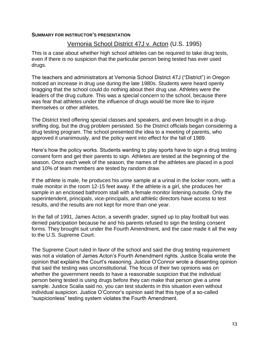#### **SUMMARY FOR INSTRUCTOR'S PRESENTATION**

## Vernonia School District 47J v. Acton (U.S. 1995)

This is a case about whether high school athletes can be required to take drug tests, even if there is no suspicion that the particular person being tested has ever used drugs.

The teachers and administrators at Vernonia School District 47J ("District") in Oregon noticed an increase in drug use during the late 1980s. Students were heard openly bragging that the school could do nothing about their drug use. Athletes were the leaders of the drug culture. This was a special concern to the school, because there was fear that athletes under the influence of drugs would be more like to injure themselves or other athletes.

The District tried offering special classes and speakers, and even brought in a drugsniffing dog, but the drug problem persisted. So the District officials began considering a drug testing program. The school presented the idea to a meeting of parents, who approved it unanimously, and the policy went into effect for the fall of 1989.

Here's how the policy works. Students wanting to play sports have to sign a drug testing consent form and get their parents to sign. Athletes are tested at the beginning of the season. Once each week of the season, the names of the athletes are placed in a pool and 10% of team members are tested by random draw.

If the athlete is male, he produces his urine sample at a urinal in the locker room, with a male monitor in the room 12-15 feet away. If the athlete is a girl, she produces her sample in an enclosed bathroom stall with a female monitor listening outside. Only the superintendent, principals, vice-principals, and athletic directors have access to test results, and the results are not kept for more than one year.

In the fall of 1991, James Acton, a seventh grader, signed up to play football but was denied participation because he and his parents refused to sign the testing consent forms. They brought suit under the Fourth Amendment, and the case made it all the way to the U.S. Supreme Court.

The Supreme Court ruled in favor of the school and said the drug testing requirement was not a violation of James Acton's Fourth Amendment rights. Justice Scalia wrote the opinion that explains the Court's reasoning. Justice O'Connor wrote a dissenting opinion that said the testing was unconstitutional. The focus of their two opinions was on whether the government needs to have a reasonable suspicion that the individual person being tested is using drugs before they can make that person give a urine sample. Justice Scalia said no, you can test students in this situation even without individual suspicion. Justice O'Connor's opinion said that this type of a so-called "suspicionless" testing system violates the Fourth Amendment.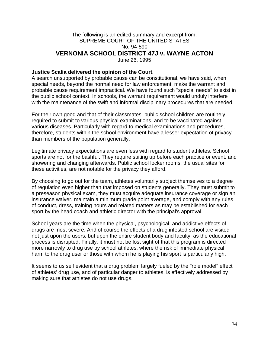## The following is an edited summary and excerpt from: SUPREME COURT OF THE UNITED STATES No. 94-590 **VERNONIA SCHOOL DISTRICT 47J v. WAYNE ACTON** June 26, 1995

### **Justice Scalia delivered the opinion of the Court.**

A search unsupported by probable cause can be constitutional, we have said, when special needs, beyond the normal need for law enforcement, make the warrant and probable cause requirement impractical. We have found such "special needs" to exist in the public school context. In schools, the warrant requirement would unduly interfere with the maintenance of the swift and informal disciplinary procedures that are needed.

For their own good and that of their classmates, public school children are routinely required to submit to various physical examinations, and to be vaccinated against various diseases. Particularly with regard to medical examinations and procedures, therefore, students within the school environment have a lesser expectation of privacy than members of the population generally.

Legitimate privacy expectations are even less with regard to student athletes. School sports are not for the bashful. They require suiting up before each practice or event, and showering and changing afterwards. Public school locker rooms, the usual sites for these activities, are not notable for the privacy they afford.

By choosing to go out for the team, athletes voluntarily subject themselves to a degree of regulation even higher than that imposed on students generally. They must submit to a preseason physical exam, they must acquire adequate insurance coverage or sign an insurance waiver, maintain a minimum grade point average, and comply with any rules of conduct, dress, training hours and related matters as may be established for each sport by the head coach and athletic director with the principal's approval.

School years are the time when the physical, psychological, and addictive effects of drugs are most severe. And of course the effects of a drug infested school are visited not just upon the users, but upon the entire student body and faculty, as the educational process is disrupted. Finally, it must not be lost sight of that this program is directed more narrowly to drug use by school athletes, where the risk of immediate physical harm to the drug user or those with whom he is playing his sport is particularly high.

It seems to us self evident that a drug problem largely fueled by the "role model" effect of athletes' drug use, and of particular danger to athletes, is effectively addressed by making sure that athletes do not use drugs.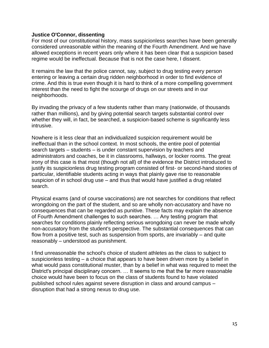## **Justice O'Connor, dissenting**

For most of our constitutional history, mass suspicionless searches have been generally considered unreasonable within the meaning of the Fourth Amendment. And we have allowed exceptions in recent years only where it has been clear that a suspicion based regime would be ineffectual. Because that is not the case here, I dissent.

It remains the law that the police cannot, say, subject to drug testing every person entering or leaving a certain drug ridden neighborhood in order to find evidence of crime. And this is true even though it is hard to think of a more compelling government interest than the need to fight the scourge of drugs on our streets and in our neighborhoods.

By invading the privacy of a few students rather than many (nationwide, of thousands rather than millions), and by giving potential search targets substantial control over whether they will, in fact, be searched, a suspicion-based scheme is significantly less intrusive.

Nowhere is it less clear that an individualized suspicion requirement would be ineffectual than in the school context. In most schools, the entire pool of potential search targets – students – is under constant supervision by teachers and administrators and coaches, be it in classrooms, hallways, or locker rooms. The great irony of this case is that most (though not all) of the evidence the District introduced to justify its suspicionless drug testing program consisted of first- or second-hand stories of particular, identifiable students acting in ways that plainly gave rise to reasonable suspicion of in school drug use – and thus that would have justified a drug related search.

Physical exams (and of course vaccinations) are not searches for conditions that reflect wrongdoing on the part of the student, and so are wholly non-accusatory and have no consequences that can be regarded as punitive. These facts may explain the absence of Fourth Amendment challenges to such searches. … Any testing program that searches for conditions plainly reflecting serious wrongdoing can never be made wholly non-accusatory from the student's perspective. The substantial consequences that can flow from a positive test, such as suspension from sports, are invariably – and quite reasonably – understood as punishment.

I find unreasonable the school's choice of student athletes as the class to subject to suspicionless testing – a choice that appears to have been driven more by a belief in what would pass constitutional muster, than by a belief in what was required to meet the District's principal disciplinary concern. … It seems to me that the far more reasonable choice would have been to focus on the class of students found to have violated published school rules against severe disruption in class and around campus – disruption that had a strong nexus to drug use.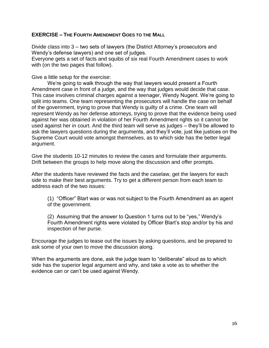## **EXERCISE – THE FOURTH AMENDMENT GOES TO THE MALL**

Divide class into 3 – two sets of lawyers (the District Attorney's prosecutors and Wendy's defense lawyers) and one set of judges. Everyone gets a set of facts and squibs of six real Fourth Amendment cases to work

with (on the two pages that follow).

Give a little setup for the exercise:

We're going to walk through the way that lawyers would present a Fourth Amendment case in front of a judge, and the way that judges would decide that case. This case involves criminal charges against a teenager, Wendy Nugent. We're going to split into teams. One team representing the prosecutors will handle the case on behalf of the government, trying to prove that Wendy is guilty of a crime. One team will represent Wendy as her defense attorneys, trying to prove that the evidence being used against her was obtained in violation of her Fourth Amendment rights so it cannot be used against her in court. And the third team will serve as judges – they'll be allowed to ask the lawyers questions during the arguments, and they'll vote, just like justices on the Supreme Court would vote amongst themselves, as to which side has the better legal argument.

Give the students 10-12 minutes to review the cases and formulate their arguments. Drift between the groups to help move along the discussion and offer prompts.

After the students have reviewed the facts and the caselaw, get the lawyers for each side to make their best arguments. Try to get a different person from each team to address each of the two issues:

(1) "Officer" Blart was or was not subject to the Fourth Amendment as an agent of the government.

(2) Assuming that the answer to Question 1 turns out to be "yes," Wendy's Fourth Amendment rights were violated by Officer Blart's stop and/or by his and inspection of her purse.

Encourage the judges to tease out the issues by asking questions, and be prepared to ask some of your own to move the discussion along.

When the arguments are done, ask the judge team to "deliberate" aloud as to which side has the superior legal argument and why, and take a vote as to whether the evidence can or can't be used against Wendy.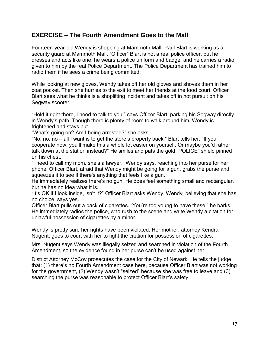## **EXERCISE – The Fourth Amendment Goes to the Mall**

Fourteen-year-old Wendy is shopping at Mammoth Mall. Paul Blart is working as a security guard at Mammoth Mall. "Officer" Blart is not a real police officer, but he dresses and acts like one: he wears a police uniform and badge, and he carries a radio given to him by the real Police Department. The Police Department has trained him to radio them if he sees a crime being committed.

While looking at new gloves, Wendy takes off her old gloves and shoves them in her coat pocket. Then she hurries to the exit to meet her friends at the food court. Officer Blart sees what he thinks is a shoplifting incident and takes off in hot pursuit on his Segway scooter.

"Hold it right there, I need to talk to you," says Officer Blart, parking his Segway directly in Wendy's path. Though there is plenty of room to walk around him, Wendy is frightened and stays put.

"What's going on? Am I being arrested?" she asks.

"No, no, no – all I want is to get the store's property back," Blart tells her. "If you cooperate now, you'll make this a whole lot easier on yourself. Or maybe you'd rather talk down at the station instead?" He smiles and pats the gold "POLICE" shield pinned on his chest.

"I need to call my mom, she's a lawyer," Wendy says, reaching into her purse for her phone. Officer Blart, afraid that Wendy might be going for a gun, grabs the purse and squeezes it to see if there's anything that feels like a gun.

He immediately realizes there's no gun. He does feel something small and rectangular, but he has no idea what it is.

"It's OK if I look inside, isn't it?" Officer Blart asks Wendy. Wendy, believing that she has no choice, says yes.

Officer Blart pulls out a pack of cigarettes. "You're too young to have these!" he barks. He immediately radios the police, who rush to the scene and write Wendy a citation for unlawful possession of cigarettes by a minor.

Wendy is pretty sure her rights have been violated. Her mother, attorney Kendra Nugent, goes to court with her to fight the citation for possession of cigarettes.

Mrs. Nugent says Wendy was illegally seized and searched in violation of the Fourth Amendment, so the evidence found in her purse can't be used against her.

District Attorney McCoy prosecutes the case for the City of Newark. He tells the judge that: (1) there's no Fourth Amendment case here, because Officer Blart was not working for the government, (2) Wendy wasn't "seized" because she was free to leave and (3) searching the purse was reasonable to protect Officer Blart's safety.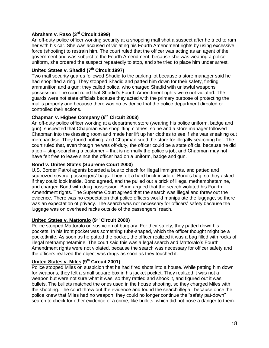## **Abraham v. Raso (3rd Circuit 1999)**

An off-duty police officer working security at a shopping mall shot a suspect after he tried to ram her with his car. She was accused of violating his Fourth Amendment rights by using excessive force (shooting) to restrain him. The court ruled that the officer was acting as an agent of the government and was subject to the Fourth Amendment, because she was wearing a police uniform, she ordered the suspect repeatedly to stop, and she tried to place him under arrest.

## **United States v. Shadid (7th Circuit 1997)**

Two mall security guards followed Shadid to the parking lot because a store manager said he had shoplifted a ring. They stopped Shadid and patted him down for their safety, finding ammunition and a gun; they called police, who charged Shadid with unlawful weapons possession. The court ruled that Shadid's Fourth Amendment rights were not violated. The guards were not state officials because they acted with the primary purpose of protecting the mall's property and because there was no evidence that the police department directed or controlled their actions.

## **Chapman v. Higbee Company (6th Circuit 2003)**

An off-duty police officer working at a department store (wearing his police uniform, badge and gun), suspected that Chapman was shoplifting clothes, so he and a store manager followed Chapman into the dressing room and made her lift up her clothes to see if she was sneaking out merchandise. They found nothing, and Chapman sued the store for illegally searching her. The court ruled that, even though he was off-duty, the officer could be a state official because he did a job – strip-searching a customer – that is normally the police's job, and Chapman may not have felt free to leave since the officer had on a uniform, badge and gun.

#### **Bond v. Unites States (Supreme Court 2000)**

U.S. Border Patrol agents boarded a bus to check for illegal immigrants, and patted and squeezed several passengers' bags. They felt a hard brick inside of Bond's bag, so they asked if they could look inside. Bond agreed, and the pulled out a brick of illegal methamphetamine, and charged Bond with drug possession. Bond argued that the search violated his Fourth Amendment rights. The Supreme Court agreed that the search was illegal and threw out the evidence. There was no expectation that police officers would manipulate the luggage, so there was an expectation of privacy. The search was not necessary for officers' safety because the luggage was on overhead racks outside of the passengers' reach.

## **United States v. Mattoralo (9th Circuit 2000)**

Police stopped Mattoralo on suspicion of burglary. For their safety, they patted down his pockets. In his front pocket was something tube-shaped, which the officer thought might be a pocketknife. As soon as he patted the pocket, the officer realized it was a bag filled with rocks of illegal methamphetamine. The court said this was a legal search and Mattoralo's Fourth Amendment rights were not violated, because the search was necessary for officer safety and the officers realized the object was drugs as soon as they touched it.

#### **United States v. Miles (9th Circuit 2001)**

Police stopped Miles on suspicion that he had fired shots into a house. While patting him down for weapons, they felt a small square box in his jacket pocket. They realized it was not a weapon but were not sure what it was, so they rattled and shook it, and figured out it was bullets. The bullets matched the ones used in the house shooting, so they charged Miles with the shooting. The court threw out the evidence and found the search illegal, because once the police knew that Miles had no weapon, they could no longer continue the "safety pat-down" search to check for other evidence of a crime, like bullets, which did not pose a danger to them.